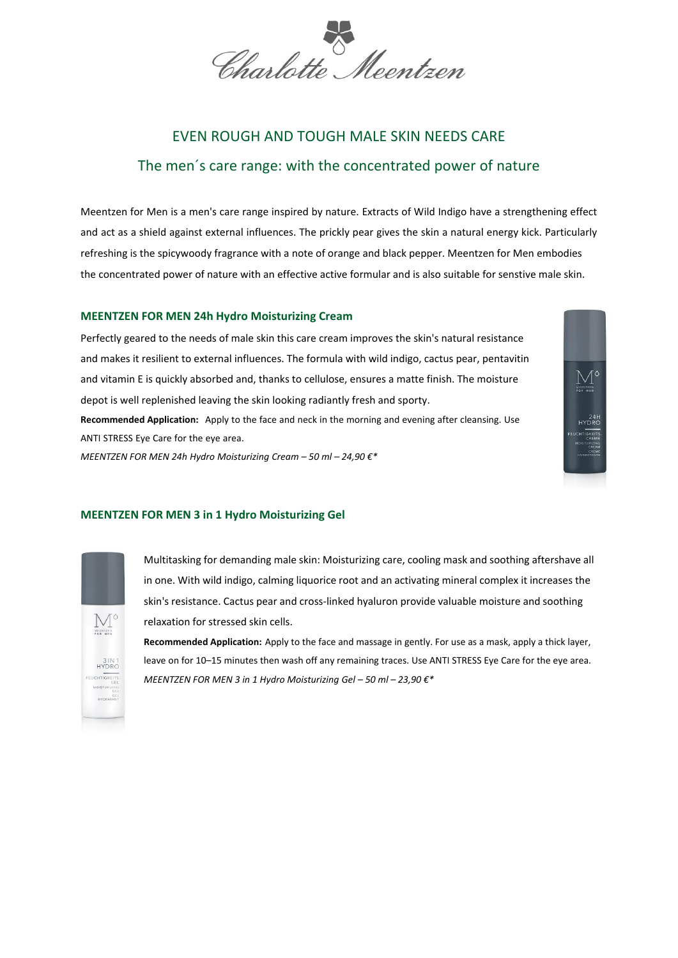Charlotte Meentzen

# EVEN ROUGH AND TOUGH MALE SKIN NEEDS CARE The men´s care range: with the concentrated power of nature

Meentzen for Men is a men's care range inspired by nature. Extracts of Wild Indigo have a strengthening effect and act as a shield against external influences. The prickly pear gives the skin a natural energy kick. Particularly refreshing is the spicywoody fragrance with a note of orange and black pepper. Meentzen for Men embodies the concentrated power of nature with an effective active formular and is also suitable for senstive male skin.

## **MEENTZEN FOR MEN 24h Hydro Moisturizing Cream**

Perfectly geared to the needs of male skin this care cream improves the skin's natural resistance and makes it resilient to external influences. The formula with wild indigo, cactus pear, pentavitin and vitamin E is quickly absorbed and, thanks to cellulose, ensures a matte finish. The moisture depot is well replenished leaving the skin looking radiantly fresh and sporty. **Recommended Application:** Apply to the face and neck in the morning and evening after cleansing. Use ANTI STRESS Eye Care for the eye area. *MEENTZEN FOR MEN 24h Hydro Moisturizing Cream – 50 ml – 24,90 €\** 



## **MEENTZEN FOR MEN 3 in 1 Hydro Moisturizing Gel**



Multitasking for demanding male skin: Moisturizing care, cooling mask and soothing aftershave all in one. With wild indigo, calming liquorice root and an activating mineral complex it increases the skin's resistance. Cactus pear and cross-linked hyaluron provide valuable moisture and soothing relaxation for stressed skin cells.

**Recommended Application:** Apply to the face and massage in gently. For use as a mask, apply a thick layer, leave on for 10–15 minutes then wash off any remaining traces. Use ANTI STRESS Eye Care for the eye area. *MEENTZEN FOR MEN 3 in 1 Hydro Moisturizing Gel – 50 ml – 23,90 €\**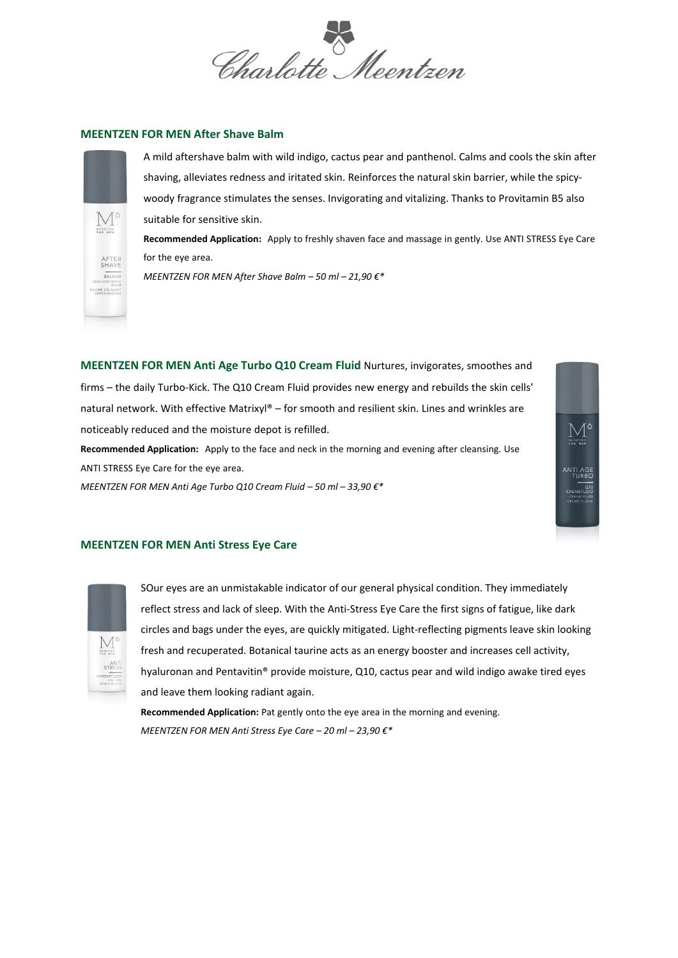Charlotte Meentzen

## **MEENTZEN FOR MEN After Shave Balm**



A mild aftershave balm with wild indigo, cactus pear and panthenol. Calms and cools the skin after shaving, alleviates redness and iritated skin. Reinforces the natural skin barrier, while the spicywoody fragrance stimulates the senses. Invigorating and vitalizing. Thanks to Provitamin B5 also suitable for sensitive skin.

**Recommended Application:** Apply to freshly shaven face and massage in gently. Use ANTI STRESS Eye Care for the eye area.

*MEENTZEN FOR MEN After Shave Balm – 50 ml – 21,90 €\** 

**MEENTZEN FOR MEN Anti Age Turbo Q10 Cream Fluid** Nurtures, invigorates, smoothes and firms – the daily Turbo-Kick. The Q10 Cream Fluid provides new energy and rebuilds the skin cells' natural network. With effective Matrixyl® – for smooth and resilient skin. Lines and wrinkles are noticeably reduced and the moisture depot is refilled.

**Recommended Application:** Apply to the face and neck in the morning and evening after cleansing. Use ANTI STRESS Eye Care for the eye area.

*MEENTZEN FOR MEN Anti Age Turbo Q10 Cream Fluid – 50 ml – 33,90 €\** 

## **MEENTZEN FOR MEN Anti Stress Eye Care**



SOur eyes are an unmistakable indicator of our general physical condition. They immediately reflect stress and lack of sleep. With the Anti-Stress Eye Care the first signs of fatigue, like dark circles and bags under the eyes, are quickly mitigated. Light-reflecting pigments leave skin looking fresh and recuperated. Botanical taurine acts as an energy booster and increases cell activity, hyaluronan and Pentavitin® provide moisture, Q10, cactus pear and wild indigo awake tired eyes and leave them looking radiant again.

NTI AGE<br>TURBO<br>REMEFLUID

**Recommended Application:** Pat gently onto the eye area in the morning and evening. *MEENTZEN FOR MEN Anti Stress Eye Care – 20 ml – 23,90 €\**